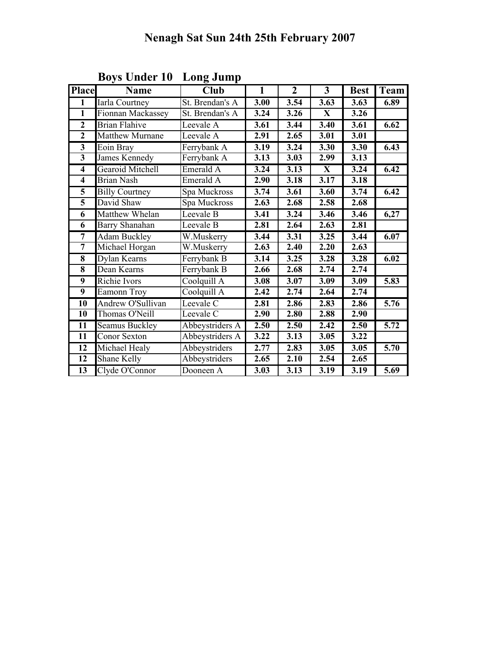| <b>Place</b>       | <b>Name</b>             | Club            | $\mathbf{1}$ | $\overline{2}$ | $\mathbf{3}$ | <b>Best</b> | Team              |
|--------------------|-------------------------|-----------------|--------------|----------------|--------------|-------------|-------------------|
| 1                  | Iarla Courtney          | St. Brendan's A | 3.00         | 3.54           | 3.63         | 3.63        | 6.89              |
| $\mathbf{1}$       | Fionnan Mackassey       | St. Brendan's A | 3.24         | 3.26           | X            | 3.26        |                   |
| $\overline{2}$     | <b>Brian Flahive</b>    | Leevale A       | 3.61         | 3.44           | 3.40         | 3.61        | 6.62              |
| $\overline{2}$     | <b>Matthew Murnane</b>  | Leevale A       | 2.91         | 2.65           | 3.01         | 3.01        |                   |
| $\overline{3}$     | Eoin Bray               | Ferrybank A     | 3.19         | 3.24           | 3.30         | 3.30        | 6.43              |
| $\overline{3}$     | James Kennedy           | Ferrybank A     | 3.13         | 3.03           | 2.99         | 3.13        |                   |
| 4                  | <b>Gearoid Mitchell</b> | Emerald A       | 3.24         | 3.13           | $\mathbf{X}$ | 3.24        | 6.42              |
| $\overline{4}$     | <b>Brian Nash</b>       | Emerald A       | 2.90         | 3.18           | 3.17         | 3.18        |                   |
| $\overline{5}$     | <b>Billy Courtney</b>   | Spa Muckross    | 3.74         | 3.61           | 3.60         | 3.74        | $\overline{6.42}$ |
| $\overline{5}$     | David Shaw              | Spa Muckross    | 2.63         | 2.68           | 2.58         | 2.68        |                   |
| 6                  | Matthew Whelan          | Leevale B       | 3.41         | 3.24           | 3.46         | 3.46        | 6,27              |
| 6                  | Barry Shanahan          | Leevale B       | 2.81         | 2.64           | 2.63         | 2.81        |                   |
| 7                  | Adam Buckley            | W.Muskerry      | 3.44         | 3.31           | 3.25         | 3.44        | 6.07              |
| 7                  | Michael Horgan          | W.Muskerry      | 2.63         | 2.40           | 2.20         | 2.63        |                   |
| 8                  | Dylan Kearns            | Ferrybank B     | 3.14         | 3.25           | 3.28         | 3.28        | 6.02              |
| $\overline{\bf 8}$ | Dean Kearns             | Ferrybank B     | 2.66         | 2.68           | 2.74         | 2.74        |                   |
| 9                  | Richie Ivors            | Coolquill A     | 3.08         | 3.07           | 3.09         | 3.09        | 5.83              |
| $\overline{9}$     | Eamonn Troy             | Coolquill A     | 2.42         | 2.74           | 2.64         | 2.74        |                   |
| 10                 | Andrew O'Sullivan       | Leevale C       | 2.81         | 2.86           | 2.83         | 2.86        | $\overline{5.76}$ |
| 10                 | Thomas O'Neill          | Leevale C       | 2.90         | 2.80           | 2.88         | 2.90        |                   |
| 11                 | <b>Seamus Buckley</b>   | Abbeystriders A | 2.50         | 2.50           | 2.42         | 2.50        | 5.72              |
| 11                 | Conor Sexton            | Abbeystriders A | 3.22         | 3.13           | 3.05         | 3.22        |                   |
| 12                 | Michael Healy           | Abbeystriders   | 2.77         | 2.83           | 3.05         | 3.05        | 5.70              |
| 12                 | Shane Kelly             | Abbeystriders   | 2.65         | 2.10           | 2.54         | 2.65        |                   |
| $\overline{13}$    | Clyde O'Connor          | Dooneen A       | 3.03         | 3.13           | 3.19         | 3.19        | 5.69              |

Boys Under 10 Long Jump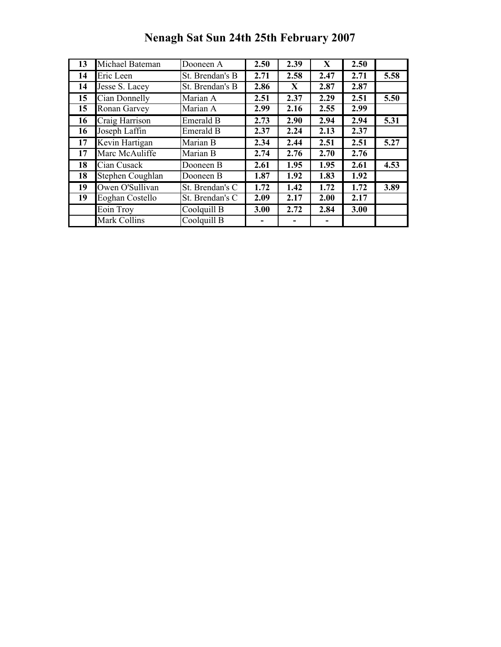| 13 | Michael Bateman             | Dooneen A       | 2.50 | 2.39 | X    | 2.50 |      |
|----|-----------------------------|-----------------|------|------|------|------|------|
| 14 | Eric Leen                   | St. Brendan's B | 2.71 | 2.58 | 2.47 | 2.71 | 5.58 |
| 14 | Jesse S. Lacey              | St. Brendan's B | 2.86 | X    | 2.87 | 2.87 |      |
| 15 | $\overline{C}$ ian Donnelly | Marian A        | 2.51 | 2.37 | 2.29 | 2.51 | 5.50 |
| 15 | Ronan Garvey                | Marian A        | 2.99 | 2.16 | 2.55 | 2.99 |      |
| 16 | Craig Harrison              | Emerald B       | 2.73 | 2.90 | 2.94 | 2.94 | 5.31 |
| 16 | Joseph Laffin               | Emerald B       | 2.37 | 2.24 | 2.13 | 2.37 |      |
| 17 | Kevin Hartigan              | Marian B        | 2.34 | 2.44 | 2.51 | 2.51 | 5.27 |
| 17 | Marc McAuliffe              | Marian B        | 2.74 | 2.76 | 2.70 | 2.76 |      |
| 18 | Cian Cusack                 | Dooneen B       | 2.61 | 1.95 | 1.95 | 2.61 | 4.53 |
| 18 | Stephen Coughlan            | Dooneen B       | 1.87 | 1.92 | 1.83 | 1.92 |      |
| 19 | Owen O'Sullivan             | St. Brendan's C | 1.72 | 1.42 | 1.72 | 1.72 | 3.89 |
| 19 | Eoghan Costello             | St. Brendan's C | 2.09 | 2.17 | 2.00 | 2.17 |      |
|    | Eoin Troy                   | Coolquill B     | 3.00 | 2.72 | 2.84 | 3.00 |      |
|    | <b>Mark Collins</b>         | Coolquill B     |      |      |      |      |      |

## Nenagh Sat Sun 24th 25th February 2007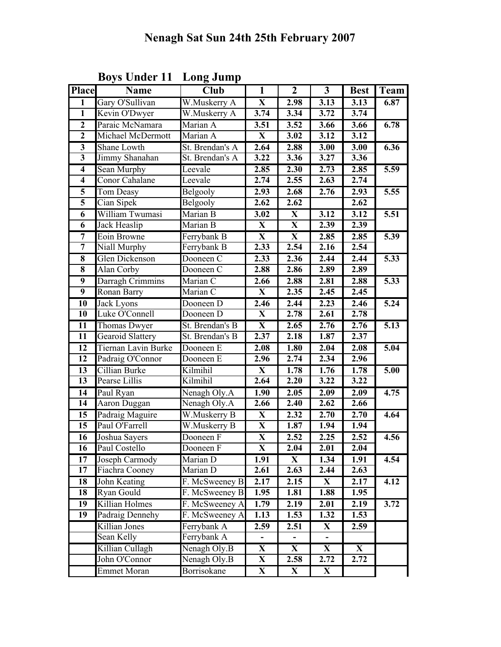| <b>Place</b>            | Name                    | <b>Club</b>     | $\overline{1}$ | $\overline{2}$ | $\overline{\mathbf{3}}$ | <b>Best</b> | Team              |
|-------------------------|-------------------------|-----------------|----------------|----------------|-------------------------|-------------|-------------------|
| 1                       | Gary O'Sullivan         | W.Muskerry A    | X              | 2.98           | 3.13                    | 3.13        | 6.87              |
| $\mathbf{1}$            | Kevin O'Dwyer           | W.Muskerry A    | 3.74           | 3.34           | 3.72                    | 3.74        |                   |
| $\overline{2}$          | Paraic McNamara         | Marian A        | 3.51           | 3.52           | 3.66                    | 3.66        | 6.78              |
| $\overline{2}$          | Michael McDermott       | Marian A        | $\mathbf{X}$   | 3.02           | 3.12                    | 3.12        |                   |
| 3                       | Shane Lowth             | St. Brendan's A | 2.64           | 2.88           | 3.00                    | 3.00        | 6.36              |
| $\overline{\mathbf{3}}$ | Jimmy Shanahan          | St. Brendan's A | 3.22           | 3.36           | 3.27                    | 3.36        |                   |
| $\overline{\bf{4}}$     | Sean Murphy             | Leevale         | 2.85           | 2.30           | 2.73                    | 2.85        | 5.59              |
| $\overline{\mathbf{4}}$ | Conor Cahalane          | Leevale         | 2.74           | 2.55           | 2.63                    | 2.74        |                   |
| $\overline{\mathbf{5}}$ | Tom Deasy               | Belgooly        | 2.93           | 2.68           | 2.76                    | 2.93        | 5.55              |
| $\overline{\mathbf{5}}$ | Cian Sipek              | Belgooly        | 2.62           | 2.62           |                         | 2.62        |                   |
| 6                       | William Twumasi         | Marian B        | 3.02           | $\mathbf X$    | 3.12                    | 3.12        | 5.51              |
| 6                       | Jack Heaslip            | Marian B        | $\mathbf{X}$   | $\mathbf X$    | 2.39                    | 2.39        |                   |
| $\overline{7}$          | Eoin Browne             | Ferrybank B     | $\mathbf{X}$   | $\mathbf{X}$   | 2.85                    | 2.85        | 5.39              |
| $\overline{7}$          | Niall Murphy            | Ferrybank B     | 2.33           | 2.54           | 2.16                    | 2.54        |                   |
| 8                       | <b>Glen Dickenson</b>   | Dooneen C       | 2.33           | 2.36           | 2.44                    | 2.44        | 5.33              |
| 8                       | Alan Corby              | Dooneen C       | 2.88           | 2.86           | 2.89                    | 2.89        |                   |
| $\overline{9}$          | Darragh Crimmins        | Marian C        | 2.66           | 2.88           | 2.81                    | 2.88        | $\overline{5.33}$ |
| $\overline{9}$          | Ronan Barry             | Marian C        | $\mathbf{X}$   | 2.35           | 2.45                    | 2.45        |                   |
| 10                      | Jack Lyons              | Dooneen D       | 2.46           | 2.44           | 2.23                    | 2.46        | 5.24              |
| 10                      | Luke O'Connell          | Dooneen D       | $\mathbf{X}$   | 2.78           | 2.61                    | 2.78        |                   |
| 11                      | Thomas Dwyer            | St. Brendan's B | $\mathbf X$    | 2.65           | 2.76                    | 2.76        | 5.13              |
| 11                      | <b>Gearoid Slattery</b> | St. Brendan's B | 2.37           | 2.18           | 1.87                    | 2.37        |                   |
| 12                      | Tiernan Lavin Burke     | Dooneen E       | 2.08           | 1.80           | 2.04                    | 2.08        | 5.04              |
| 12                      | Padraig O'Connor        | Dooneen E       | 2.96           | 2.74           | 2.34                    | 2.96        |                   |
| 13                      | Cillian Burke           | Kilmihil        | X              | 1.78           | 1.76                    | 1.78        | 5.00              |
| 13                      | Pearse Lillis           | Kilmihil        | 2.64           | 2.20           | 3.22                    | 3.22        |                   |
| $\overline{14}$         | Paul Ryan               | Nenagh Oly.A    | 1.90           | 2.05           | 2.09                    | 2.09        | 4.75              |
| 14                      | <b>Aaron Duggan</b>     | Nenagh Oly.A    | 2.66           | 2.40           | 2.62                    | 2.66        |                   |
| 15                      | Padraig Maguire         | W.Muskerry B    | X              | 2.32           | 2.70                    | 2.70        | 4.64              |
| 15                      | Paul O'Farrell          | W.Muskerry B    | $\mathbf X$    | 1.87           | 1.94                    | 1.94        |                   |
| 16                      | Joshua Sayers           | Dooneen F       | X              | 2.52           | 2.25                    | 2.52        | 4.56              |
| $\overline{16}$         | Paul Costello           | Dooneen F       | $\mathbf X$    | 2.04           | 2.01                    | 2.04        |                   |
| 17                      | Joseph Carmody          | Marian D        | 1.91           | X              | 1.34                    | 1.91        | 4.54              |
| 17                      | Fiachra Cooney          | Marian D        | 2.61           | 2.63           | 2.44                    | 2.63        |                   |
| 18                      | John Keating            | F. McSweeney B  | 2.17           | 2.15           | $\mathbf{X}$            | 2.17        | 4.12              |
| 18                      | Ryan Gould              | F. McSweeney B  | 1.95           | 1.81           | 1.88                    | 1.95        |                   |
| 19                      | Killian Holmes          | F. McSweeney A  | 1.79           | 2.19           | 2.01                    | 2.19        | 3.72              |
| 19                      | Padraig Dennehy         | F. McSweeney A  | 1.13           | 1.53           | 1.32                    | 1.53        |                   |
|                         | Killian Jones           | Ferrybank A     | 2.59           | 2.51           | $\mathbf{X}$            | 2.59        |                   |
|                         | Sean Kelly              | Ferrybank A     | $\blacksquare$ | $\blacksquare$ | $\blacksquare$          |             |                   |
|                         | Killian Cullagh         | Nenagh Oly.B    | X              | X              | $\mathbf{X}$            | X           |                   |
|                         | John O'Connor           | Nenagh Oly.B    | $\mathbf{X}$   | 2.58           | 2.72                    | 2.72        |                   |
|                         | <b>Emmet Moran</b>      | Borrisokane     | X              | $\mathbf{X}$   | X                       |             |                   |

Boys Under 11 Long Jump